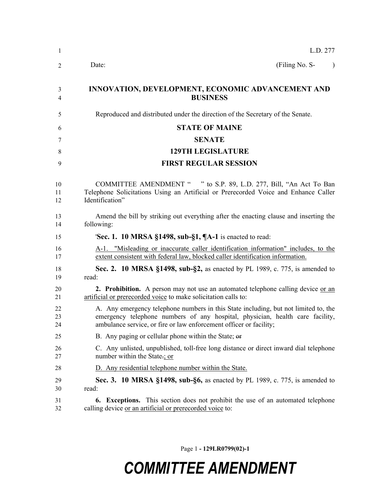| -1                  | L.D. 277                                                                                                                                                                                                                                   |
|---------------------|--------------------------------------------------------------------------------------------------------------------------------------------------------------------------------------------------------------------------------------------|
| 2                   | (Filing No. S-<br>Date:                                                                                                                                                                                                                    |
| 3<br>$\overline{4}$ | INNOVATION, DEVELOPMENT, ECONOMIC ADVANCEMENT AND<br><b>BUSINESS</b>                                                                                                                                                                       |
| 5                   | Reproduced and distributed under the direction of the Secretary of the Senate.                                                                                                                                                             |
| 6                   | <b>STATE OF MAINE</b>                                                                                                                                                                                                                      |
| 7                   | <b>SENATE</b>                                                                                                                                                                                                                              |
| 8                   | <b>129TH LEGISLATURE</b>                                                                                                                                                                                                                   |
| 9                   | <b>FIRST REGULAR SESSION</b>                                                                                                                                                                                                               |
| 10<br>11<br>12      | COMMITTEE AMENDMENT " " to S.P. 89, L.D. 277, Bill, "An Act To Ban<br>Telephone Solicitations Using an Artificial or Prerecorded Voice and Enhance Caller<br>Identification"                                                               |
| 13<br>14            | Amend the bill by striking out everything after the enacting clause and inserting the<br>following:                                                                                                                                        |
| 15                  | <b>Sec. 1. 10 MRSA §1498, sub-§1, <math>\P</math>A-1</b> is enacted to read:                                                                                                                                                               |
| 16<br>17            | A-1. "Misleading or inaccurate caller identification information" includes, to the<br>extent consistent with federal law, blocked caller identification information.                                                                       |
| 18<br>19            | Sec. 2. 10 MRSA §1498, sub-§2, as enacted by PL 1989, c. 775, is amended to<br>read:                                                                                                                                                       |
| 20<br>21            | 2. Prohibition. A person may not use an automated telephone calling device or an<br>artificial or prerecorded voice to make solicitation calls to:                                                                                         |
| 22<br>23<br>24      | A. Any emergency telephone numbers in this State including, but not limited to, the<br>emergency telephone numbers of any hospital, physician, health care facility,<br>ambulance service, or fire or law enforcement officer or facility; |
| 25                  | B. Any paging or cellular phone within the State; or                                                                                                                                                                                       |
| 26<br>27            | C. Any unlisted, unpublished, toll-free long distance or direct inward dial telephone<br>number within the State-; or                                                                                                                      |
| 28                  | D. Any residential telephone number within the State.                                                                                                                                                                                      |
| 29<br>30            | <b>Sec. 3. 10 MRSA §1498, sub-§6, as enacted by PL 1989, c. 775, is amended to</b><br>read:                                                                                                                                                |
| 31<br>32            | <b>Exceptions.</b> This section does not prohibit the use of an automated telephone<br>6.<br>calling device or an artificial or prerecorded voice to:                                                                                      |

Page 1 **- 129LR0799(02)-1**

## *COMMITTEE AMENDMENT*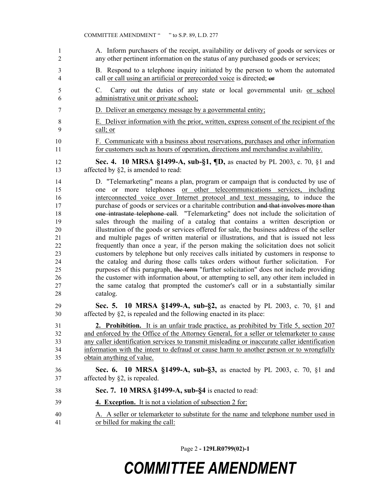A. Inform purchasers of the receipt, availability or delivery of goods or services or any other pertinent information on the status of any purchased goods or services; B. Respond to a telephone inquiry initiated by the person to whom the automated call or call using an artificial or prerecorded voice is directed; or 5 C. Carry out the duties of any state or local governmental unit- or school administrative unit or private school; D. Deliver an emergency message by a governmental entity; E. Deliver information with the prior, written, express consent of the recipient of the call; or F. Communicate with a business about reservations, purchases and other information for customers such as hours of operation, directions and merchandise availability. **Sec. 4. 10 MRSA §1499-A, sub-§1, ¶D,** as enacted by PL 2003, c. 70, §1 and 13 affected by §2, is amended to read: D. "Telemarketing" means a plan, program or campaign that is conducted by use of one or more telephones or other telecommunications services, including interconnected voice over Internet protocol and text messaging, to induce the 17 purchase of goods or services or a charitable contribution and that involves more than one intrastate telephone call. "Telemarketing" does not include the solicitation of sales through the mailing of a catalog that contains a written description or illustration of the goods or services offered for sale, the business address of the seller and multiple pages of written material or illustrations, and that is issued not less frequently than once a year, if the person making the solicitation does not solicit customers by telephone but only receives calls initiated by customers in response to the catalog and during those calls takes orders without further solicitation. For purposes of this paragraph, the term "further solicitation" does not include providing the customer with information about, or attempting to sell, any other item included in the same catalog that prompted the customer's call or in a substantially similar catalog. **Sec. 5. 10 MRSA §1499-A, sub-§2,** as enacted by PL 2003, c. 70, §1 and affected by §2, is repealed and the following enacted in its place: **2. Prohibition.** It is an unfair trade practice, as prohibited by Title 5, section 207 32 and enforced by the Office of the Attorney General, for a seller or telemarketer to cause any caller identification services to transmit misleading or inaccurate caller identification information with the intent to defraud or cause harm to another person or to wrongfully obtain anything of value. **Sec. 6. 10 MRSA §1499-A, sub-§3,** as enacted by PL 2003, c. 70, §1 and affected by §2, is repealed. **Sec. 7. 10 MRSA §1499-A, sub-§4** is enacted to read: **4. Exception.** It is not a violation of subsection 2 for: A. A seller or telemarketer to substitute for the name and telephone number used in or billed for making the call:

Page 2 **- 129LR0799(02)-1**

## *COMMITTEE AMENDMENT*